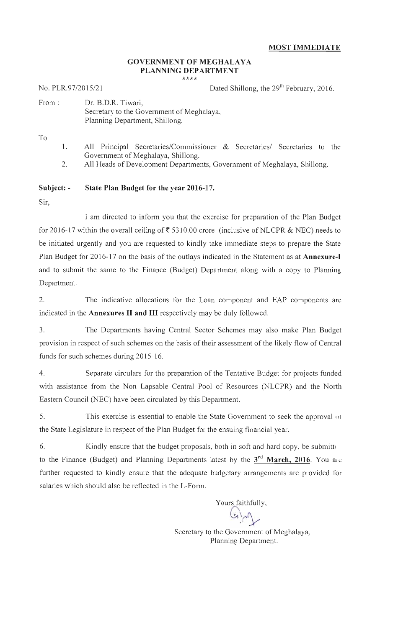# **GOVERNMENT OF MEGHALAYA** PLANNING DEPARTMENT

\*\*\*\*

No. PLR.97/2015/21

Dated Shillong, the 29<sup>th</sup> February, 2016.

| From: | Dr. B.D.R. Tiwari,                        |
|-------|-------------------------------------------|
|       | Secretary to the Government of Meghalaya. |
|       | Planning Department, Shillong.            |

To

- All Principal Secretaries/Commissioner & Secretaries/ Secretaries to the 1. Government of Meghalaya, Shillong.
- $\overline{2}$ . All Heads of Development Departments, Government of Meghalaya, Shillong.

#### State Plan Budget for the year 2016-17. Subject: -

Sir.

I am directed to inform you that the exercise for preparation of the Plan Budget for 2016-17 within the overall ceiling of ₹ 5310.00 crore (inclusive of NLCPR & NEC) needs to be initiated urgently and you are requested to kindly take immediate steps to prepare the State Plan Budget for 2016-17 on the basis of the outlays indicated in the Statement as at Annexure-I and to submit the same to the Finance (Budget) Department along with a copy to Planning Department.

The indicative allocations for the Loan component and EAP components are  $\mathcal{D}$ indicated in the Annexures II and III respectively may be duly followed.

 $3.$ The Departments having Central Sector Schemes may also make Plan Budget provision in respect of such schemes on the basis of their assessment of the likely flow of Central funds for such schemes during 2015-16.

4. Separate circulars for the preparation of the Tentative Budget for projects funded with assistance from the Non Lapsable Central Pool of Resources (NLCPR) and the North Eastern Council (NEC) have been circulated by this Department.

5. This exercise is essential to enable the State Government to seek the approval of the State Legislature in respect of the Plan Budget for the ensuing financial year.

6. Kindly ensure that the budget proposals, both in soft and hard copy, be submitted to the Finance (Budget) and Planning Departments latest by the  $3<sup>rd</sup>$  March, 2016. You are further requested to kindly ensure that the adequate budgetary arrangements are provided for salaries which should also be reflected in the L-Form.

> Secretary to the Government of Meghalaya, Planning Department.

Yours faithfully.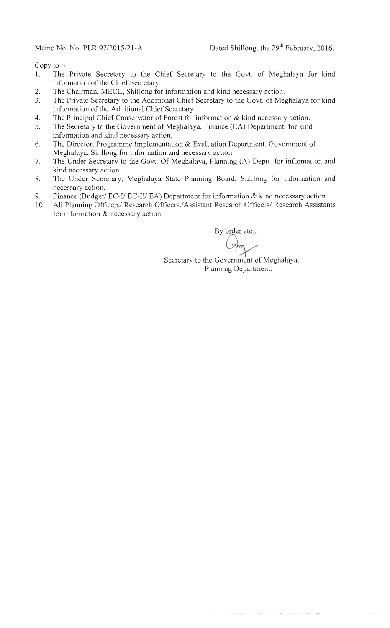Memo No. No. PLR.97/2015/21-A

Copy to  $\mathbf{P}$ 

- The Private Secretary to the Chief Secretary to the Govt. of Meghalaya for kind  $1.$ information of the Chief Secretary.
- The Chairman, MECL, Shillong for information and kind necessary action. 2.
- The Private Secretary to the Additional Chief Secretary to the Govt. of Meghalaya for kind 3. information of the Additional Chief Secretary.
- $4.$ The Principal Chief Conservator of Forest for information & kind necessary action.
- The Secretary to the Government of Meghalaya, Finance (EA) Department, for kind 5. information and kind necessary action.
- The Director, Programme Implementation & Evaluation Department, Government of 6. Meghalaya, Shillong for information and necessary action.
- The Under Secretary to the Govt. Of Meghalaya, Planning (A) Deptt. for information and 7. kind necessary action.
- The Under Secretary, Meghalaya State Planning Board, Shillong for information and 8. necessary action.
- 9. Finance (Budget/ EC-I/ EC-II/ EA) Department for information & kind necessary action.
- All Planning Officers/ Research Officers,/Assistant Research Officers/ Research Assistants 10. for information & necessary action.

By order etc.,

 $(x)$ 

Secretary to the Government of Meghalaya, Planning Department.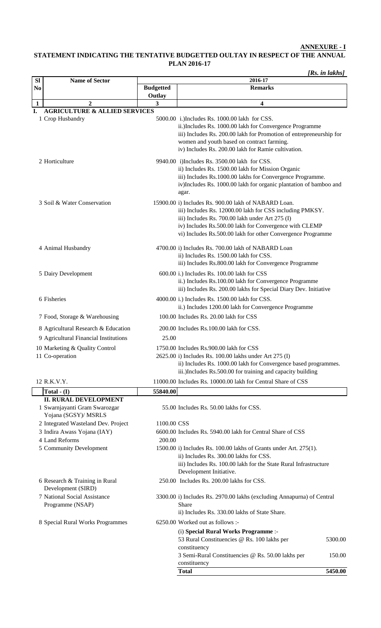**ANNEXURE - I**

### **STATEMENT INDICATING THE TENTATIVE BUDGETTED OULTAY IN RESPECT OF THE ANNUAL PLAN 2016-17**

*[Rs. in lakhs]*

| <b>Sl</b>                                                                                                                                                               | <b>Name of Sector</b>                                                                                               |                                                                                                                                 | 2016-17                                                                                                                                                                                                                                                                                      |  |  |
|-------------------------------------------------------------------------------------------------------------------------------------------------------------------------|---------------------------------------------------------------------------------------------------------------------|---------------------------------------------------------------------------------------------------------------------------------|----------------------------------------------------------------------------------------------------------------------------------------------------------------------------------------------------------------------------------------------------------------------------------------------|--|--|
| N <sub>0</sub>                                                                                                                                                          |                                                                                                                     | <b>Budgetted</b><br><b>Remarks</b>                                                                                              |                                                                                                                                                                                                                                                                                              |  |  |
|                                                                                                                                                                         |                                                                                                                     | Outlay                                                                                                                          |                                                                                                                                                                                                                                                                                              |  |  |
| $\mathbf{1}$<br>I.                                                                                                                                                      | $\overline{2}$<br><b>AGRICULTURE &amp; ALLIED SERVICES</b>                                                          | $\overline{\mathbf{3}}$                                                                                                         | 4                                                                                                                                                                                                                                                                                            |  |  |
| 1 Crop Husbandry<br>5000.00 i.) Includes Rs. 1000.00 lakh for CSS.<br>women and youth based on contract farming.<br>iv) Includes Rs. 200.00 lakh for Ramie cultivation. |                                                                                                                     | ii.) Includes Rs. 1000.00 lakh for Convergence Programme<br>iii) Includes Rs. 200.00 lakh for Promotion of entrepreneurship for |                                                                                                                                                                                                                                                                                              |  |  |
|                                                                                                                                                                         | 2 Horticulture<br>9940.00 i)Includes Rs. 3500.00 lakh for CSS.<br>ii) Includes Rs. 1500.00 lakh for Mission Organic |                                                                                                                                 | iii) Includes Rs.1000.00 lakhs for Convergence Programme.<br>iv)Includes Rs. 1000.00 lakh for organic plantation of bamboo and<br>agar.                                                                                                                                                      |  |  |
|                                                                                                                                                                         | 3 Soil & Water Conservation                                                                                         |                                                                                                                                 | 15900.00 i) Includes Rs. 900.00 lakh of NABARD Loan.<br>iii) Includes Rs. 12000.00 lakh for CSS including PMKSY.<br>iii) Includes Rs. 700.00 lakh under Art 275 (I)<br>iv) Includes Rs.500.00 lakh for Convergence with CLEMP<br>vi) Includes Rs.500.00 lakh for other Convergence Programme |  |  |
|                                                                                                                                                                         | 4 Animal Husbandry                                                                                                  |                                                                                                                                 | 4700.00 i) Includes Rs. 700.00 lakh of NABARD Loan<br>ii) Includes Rs. 1500.00 lakh for CSS.<br>iii) Includes Rs.800.00 lakh for Convergence Programme                                                                                                                                       |  |  |
|                                                                                                                                                                         | 5 Dairy Development                                                                                                 |                                                                                                                                 | 600.00 i.) Includes Rs. 100.00 lakh for CSS<br>ii.) Includes Rs.100.00 lakh for Convergence Programme<br>iii) Includes Rs. 200.00 lakhs for Special Diary Dev. Initiative                                                                                                                    |  |  |
|                                                                                                                                                                         | 6 Fisheries                                                                                                         |                                                                                                                                 | 4000.00 i.) Includes Rs. 1500.00 lakh for CSS.<br>ii.) Includes 1200.00 lakh for Convergence Programme                                                                                                                                                                                       |  |  |
|                                                                                                                                                                         | 7 Food, Storage & Warehousing                                                                                       |                                                                                                                                 | 100.00 Includes Rs. 20.00 lakh for CSS                                                                                                                                                                                                                                                       |  |  |
|                                                                                                                                                                         | 8 Agricultural Research & Education                                                                                 |                                                                                                                                 | 200.00 Includes Rs.100.00 lakh for CSS.                                                                                                                                                                                                                                                      |  |  |
|                                                                                                                                                                         | 9 Agricultural Financial Institutions                                                                               | 25.00                                                                                                                           |                                                                                                                                                                                                                                                                                              |  |  |
|                                                                                                                                                                         | 10 Marketing & Quality Control<br>11 Co-operation                                                                   |                                                                                                                                 | 1750.00 Includes Rs.900.00 lakh for CSS<br>2625.00 i) Includes Rs. 100.00 lakhs under Art 275 (I)<br>ii) Includes Rs. 1000.00 lakh for Convergence based programmes.<br>iii.)Includes Rs.500.00 for training and capacity building                                                           |  |  |
|                                                                                                                                                                         | 12 R.K.V.Y.                                                                                                         |                                                                                                                                 | 11000.00 Includes Rs. 10000.00 lakh for Central Share of CSS                                                                                                                                                                                                                                 |  |  |
|                                                                                                                                                                         | Total $-$ (I)                                                                                                       | 55840.00                                                                                                                        |                                                                                                                                                                                                                                                                                              |  |  |
|                                                                                                                                                                         | <b>II. RURAL DEVELOPMENT</b><br>1 Swarnjayanti Gram Swarozgar<br>Yojana (SGSY)/ MSRLS                               |                                                                                                                                 | 55.00 Includes Rs. 50.00 lakhs for CSS.                                                                                                                                                                                                                                                      |  |  |
|                                                                                                                                                                         | 2 Integrated Wasteland Dev. Project                                                                                 | 1100.00 CSS                                                                                                                     |                                                                                                                                                                                                                                                                                              |  |  |
|                                                                                                                                                                         | 3 Indira Awass Yojana (IAY)<br>4 Land Reforms                                                                       | 200.00                                                                                                                          | 6600.00 Includes Rs. 5940.00 lakh for Central Share of CSS                                                                                                                                                                                                                                   |  |  |
|                                                                                                                                                                         | 5 Community Development                                                                                             |                                                                                                                                 | 1500.00 i) Includes Rs. 100.00 lakhs of Grants under Art. 275(1).<br>ii) Includes Rs. 300.00 lakhs for CSS.<br>iii) Includes Rs. 100.00 lakh for the State Rural Infrastructure<br>Development Initiative.                                                                                   |  |  |
|                                                                                                                                                                         | 6 Research & Training in Rural<br>Development (SIRD)                                                                | 250.00 Includes Rs. 200.00 lakhs for CSS.                                                                                       |                                                                                                                                                                                                                                                                                              |  |  |
|                                                                                                                                                                         | 7 National Social Assistance<br>Programme (NSAP)                                                                    |                                                                                                                                 | 3300.00 i) Includes Rs. 2970.00 lakhs (excluding Annapurna) of Central<br><b>Share</b><br>ii) Includes Rs. 330.00 lakhs of State Share.                                                                                                                                                      |  |  |
|                                                                                                                                                                         | 6250.00 Worked out as follows :-<br>8 Special Rural Works Programmes                                                |                                                                                                                                 |                                                                                                                                                                                                                                                                                              |  |  |
|                                                                                                                                                                         |                                                                                                                     |                                                                                                                                 | (i) Special Rural Works Programme :-<br>53 Rural Constituencies @ Rs. 100 lakhs per<br>5300.00                                                                                                                                                                                               |  |  |
|                                                                                                                                                                         |                                                                                                                     |                                                                                                                                 | constituency<br>3 Semi-Rural Constituencies @ Rs. 50.00 lakhs per<br>150.00<br>constituency                                                                                                                                                                                                  |  |  |
|                                                                                                                                                                         |                                                                                                                     |                                                                                                                                 | <b>Total</b><br>5450.00                                                                                                                                                                                                                                                                      |  |  |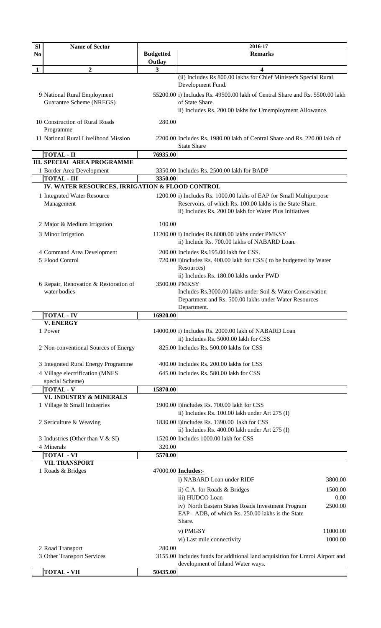| <b>Budgetted</b><br><b>Remarks</b><br>N <sub>0</sub><br>Outlay<br>$\overline{2}$<br>$\overline{\mathbf{3}}$<br>4<br>$\mathbf{1}$<br>(ii) Includes Rs 800.00 lakhs for Chief Minister's Special Rural<br>Development Fund.<br>55200.00 i) Includes Rs. 49500.00 lakh of Central Share and Rs. 5500.00 lakh<br>9 National Rural Employment<br>Guarantee Scheme (NREGS)<br>of State Share.<br>ii) Includes Rs. 200.00 lakhs for Umemployment Allowance.<br>10 Construction of Rural Roads<br>280.00<br>Programme<br>11 National Rural Livelihood Mission<br>2200.00 Includes Rs. 1980.00 lakh of Central Share and Rs. 220.00 lakh of<br><b>State Share</b><br><b>TOTAL - II</b><br>76935.00<br><b>III. SPECIAL AREA PROGRAMME</b><br>1 Border Area Development<br>3350.00 Includes Rs. 2500.00 lakh for BADP<br><b>TOTAL - III</b><br>3350.00<br>IV. WATER RESOURCES, IRRIGATION & FLOOD CONTROL<br>1 Integrated Water Resource<br>1200.00 i) Includes Rs. 1000.00 lakhs of EAP for Small Multipurpose<br>Management<br>Reservoirs, of which Rs. 100.00 lakhs is the State Share.<br>ii) Includes Rs. 200.00 lakh for Water Plus Initiatives<br>100.00<br>2 Major & Medium Irrigation<br>3 Minor Irrigation<br>11200.00 i) Includes Rs.8000.00 lakhs under PMKSY<br>ii) Include Rs. 700.00 lakhs of NABARD Loan.<br>4 Command Area Development<br>200.00 Includes Rs.195.00 lakh for CSS.<br>5 Flood Control<br>720.00 i)Includes Rs. 400.00 lakh for CSS ( to be budgetted by Water<br>Resources)<br>ii) Includes Rs. 180.00 lakhs under PWD<br>3500.00 PMKSY<br>6 Repair, Renovation & Restoration of<br>water bodies<br>Includes Rs.3000.00 lakhs under Soil & Water Conservation<br>Department and Rs. 500.00 lakhs under Water Resources<br>Department.<br><b>TOTAL - IV</b><br>16920.00<br><b>V. ENERGY</b><br>1 Power<br>14000.00 i) Includes Rs. 2000.00 lakh of NABARD Loan<br>ii) Includes Rs. 5000.00 lakh for CSS<br>825.00 Includes Rs. 500.00 lakhs for CSS<br>2 Non-conventional Sources of Energy<br>3 Integrated Rural Energy Programme<br>400.00 Includes Rs. 200.00 lakhs for CSS<br>4 Village electrification (MNES<br>645.00 Includes Rs. 580.00 lakh for CSS<br>special Scheme)<br><b>TOTAL - V</b><br>15870.00<br>VI. INDUSTRY & MINERALS<br>1 Village & Small Industries<br>1900.00 i)Includes Rs. 700.00 lakh for CSS<br>ii) Includes Rs. 100.00 lakh under Art 275 (I)<br>1830.00 i)Includes Rs. 1390.00 lakh for CSS<br>2 Sericulture & Weaving<br>ii) Includes Rs. 400.00 lakh under Art 275 (I)<br>1520.00 Includes 1000.00 lakh for CSS<br>3 Industries (Other than V & SI)<br>4 Minerals<br>320.00<br><b>TOTAL - VI</b><br>5570.00<br><b>VII. TRANSPORT</b><br>1 Roads & Bridges<br>47000.00 <b>Includes:-</b><br>i) NABARD Loan under RIDF<br>3800.00<br>ii) C.A. for Roads & Bridges<br>1500.00<br>iii) HUDCO Loan<br>0.00<br>iv) North Eastern States Roads Investment Program<br>2500.00<br>EAP - ADB, of which Rs. 250.00 lakhs is the State<br>Share.<br>11000.00<br>v) PMGSY<br>1000.00<br>vi) Last mile connectivity<br>280.00<br>2 Road Transport<br>3 Other Transport Services<br>3155.00 Includes funds for additional land acquisition for Umroi Airport and | SI | <b>Name of Sector</b> | 2016-17 |
|-------------------------------------------------------------------------------------------------------------------------------------------------------------------------------------------------------------------------------------------------------------------------------------------------------------------------------------------------------------------------------------------------------------------------------------------------------------------------------------------------------------------------------------------------------------------------------------------------------------------------------------------------------------------------------------------------------------------------------------------------------------------------------------------------------------------------------------------------------------------------------------------------------------------------------------------------------------------------------------------------------------------------------------------------------------------------------------------------------------------------------------------------------------------------------------------------------------------------------------------------------------------------------------------------------------------------------------------------------------------------------------------------------------------------------------------------------------------------------------------------------------------------------------------------------------------------------------------------------------------------------------------------------------------------------------------------------------------------------------------------------------------------------------------------------------------------------------------------------------------------------------------------------------------------------------------------------------------------------------------------------------------------------------------------------------------------------------------------------------------------------------------------------------------------------------------------------------------------------------------------------------------------------------------------------------------------------------------------------------------------------------------------------------------------------------------------------------------------------------------------------------------------------------------------------------------------------------------------------------------------------------------------------------------------------------------------------------------------------------------------------------------------------------------------------------------------------------------------------------------------------------------------------------------------------------------------------------------------------------------------------------------------------------------------------------------------------------------------------------------------------------------------------------------------------------------------------|----|-----------------------|---------|
|                                                                                                                                                                                                                                                                                                                                                                                                                                                                                                                                                                                                                                                                                                                                                                                                                                                                                                                                                                                                                                                                                                                                                                                                                                                                                                                                                                                                                                                                                                                                                                                                                                                                                                                                                                                                                                                                                                                                                                                                                                                                                                                                                                                                                                                                                                                                                                                                                                                                                                                                                                                                                                                                                                                                                                                                                                                                                                                                                                                                                                                                                                                                                                                                       |    |                       |         |
|                                                                                                                                                                                                                                                                                                                                                                                                                                                                                                                                                                                                                                                                                                                                                                                                                                                                                                                                                                                                                                                                                                                                                                                                                                                                                                                                                                                                                                                                                                                                                                                                                                                                                                                                                                                                                                                                                                                                                                                                                                                                                                                                                                                                                                                                                                                                                                                                                                                                                                                                                                                                                                                                                                                                                                                                                                                                                                                                                                                                                                                                                                                                                                                                       |    |                       |         |
|                                                                                                                                                                                                                                                                                                                                                                                                                                                                                                                                                                                                                                                                                                                                                                                                                                                                                                                                                                                                                                                                                                                                                                                                                                                                                                                                                                                                                                                                                                                                                                                                                                                                                                                                                                                                                                                                                                                                                                                                                                                                                                                                                                                                                                                                                                                                                                                                                                                                                                                                                                                                                                                                                                                                                                                                                                                                                                                                                                                                                                                                                                                                                                                                       |    |                       |         |
|                                                                                                                                                                                                                                                                                                                                                                                                                                                                                                                                                                                                                                                                                                                                                                                                                                                                                                                                                                                                                                                                                                                                                                                                                                                                                                                                                                                                                                                                                                                                                                                                                                                                                                                                                                                                                                                                                                                                                                                                                                                                                                                                                                                                                                                                                                                                                                                                                                                                                                                                                                                                                                                                                                                                                                                                                                                                                                                                                                                                                                                                                                                                                                                                       |    |                       |         |
|                                                                                                                                                                                                                                                                                                                                                                                                                                                                                                                                                                                                                                                                                                                                                                                                                                                                                                                                                                                                                                                                                                                                                                                                                                                                                                                                                                                                                                                                                                                                                                                                                                                                                                                                                                                                                                                                                                                                                                                                                                                                                                                                                                                                                                                                                                                                                                                                                                                                                                                                                                                                                                                                                                                                                                                                                                                                                                                                                                                                                                                                                                                                                                                                       |    |                       |         |
|                                                                                                                                                                                                                                                                                                                                                                                                                                                                                                                                                                                                                                                                                                                                                                                                                                                                                                                                                                                                                                                                                                                                                                                                                                                                                                                                                                                                                                                                                                                                                                                                                                                                                                                                                                                                                                                                                                                                                                                                                                                                                                                                                                                                                                                                                                                                                                                                                                                                                                                                                                                                                                                                                                                                                                                                                                                                                                                                                                                                                                                                                                                                                                                                       |    |                       |         |
|                                                                                                                                                                                                                                                                                                                                                                                                                                                                                                                                                                                                                                                                                                                                                                                                                                                                                                                                                                                                                                                                                                                                                                                                                                                                                                                                                                                                                                                                                                                                                                                                                                                                                                                                                                                                                                                                                                                                                                                                                                                                                                                                                                                                                                                                                                                                                                                                                                                                                                                                                                                                                                                                                                                                                                                                                                                                                                                                                                                                                                                                                                                                                                                                       |    |                       |         |
|                                                                                                                                                                                                                                                                                                                                                                                                                                                                                                                                                                                                                                                                                                                                                                                                                                                                                                                                                                                                                                                                                                                                                                                                                                                                                                                                                                                                                                                                                                                                                                                                                                                                                                                                                                                                                                                                                                                                                                                                                                                                                                                                                                                                                                                                                                                                                                                                                                                                                                                                                                                                                                                                                                                                                                                                                                                                                                                                                                                                                                                                                                                                                                                                       |    |                       |         |
|                                                                                                                                                                                                                                                                                                                                                                                                                                                                                                                                                                                                                                                                                                                                                                                                                                                                                                                                                                                                                                                                                                                                                                                                                                                                                                                                                                                                                                                                                                                                                                                                                                                                                                                                                                                                                                                                                                                                                                                                                                                                                                                                                                                                                                                                                                                                                                                                                                                                                                                                                                                                                                                                                                                                                                                                                                                                                                                                                                                                                                                                                                                                                                                                       |    |                       |         |
|                                                                                                                                                                                                                                                                                                                                                                                                                                                                                                                                                                                                                                                                                                                                                                                                                                                                                                                                                                                                                                                                                                                                                                                                                                                                                                                                                                                                                                                                                                                                                                                                                                                                                                                                                                                                                                                                                                                                                                                                                                                                                                                                                                                                                                                                                                                                                                                                                                                                                                                                                                                                                                                                                                                                                                                                                                                                                                                                                                                                                                                                                                                                                                                                       |    |                       |         |
|                                                                                                                                                                                                                                                                                                                                                                                                                                                                                                                                                                                                                                                                                                                                                                                                                                                                                                                                                                                                                                                                                                                                                                                                                                                                                                                                                                                                                                                                                                                                                                                                                                                                                                                                                                                                                                                                                                                                                                                                                                                                                                                                                                                                                                                                                                                                                                                                                                                                                                                                                                                                                                                                                                                                                                                                                                                                                                                                                                                                                                                                                                                                                                                                       |    |                       |         |
|                                                                                                                                                                                                                                                                                                                                                                                                                                                                                                                                                                                                                                                                                                                                                                                                                                                                                                                                                                                                                                                                                                                                                                                                                                                                                                                                                                                                                                                                                                                                                                                                                                                                                                                                                                                                                                                                                                                                                                                                                                                                                                                                                                                                                                                                                                                                                                                                                                                                                                                                                                                                                                                                                                                                                                                                                                                                                                                                                                                                                                                                                                                                                                                                       |    |                       |         |
|                                                                                                                                                                                                                                                                                                                                                                                                                                                                                                                                                                                                                                                                                                                                                                                                                                                                                                                                                                                                                                                                                                                                                                                                                                                                                                                                                                                                                                                                                                                                                                                                                                                                                                                                                                                                                                                                                                                                                                                                                                                                                                                                                                                                                                                                                                                                                                                                                                                                                                                                                                                                                                                                                                                                                                                                                                                                                                                                                                                                                                                                                                                                                                                                       |    |                       |         |
|                                                                                                                                                                                                                                                                                                                                                                                                                                                                                                                                                                                                                                                                                                                                                                                                                                                                                                                                                                                                                                                                                                                                                                                                                                                                                                                                                                                                                                                                                                                                                                                                                                                                                                                                                                                                                                                                                                                                                                                                                                                                                                                                                                                                                                                                                                                                                                                                                                                                                                                                                                                                                                                                                                                                                                                                                                                                                                                                                                                                                                                                                                                                                                                                       |    |                       |         |
|                                                                                                                                                                                                                                                                                                                                                                                                                                                                                                                                                                                                                                                                                                                                                                                                                                                                                                                                                                                                                                                                                                                                                                                                                                                                                                                                                                                                                                                                                                                                                                                                                                                                                                                                                                                                                                                                                                                                                                                                                                                                                                                                                                                                                                                                                                                                                                                                                                                                                                                                                                                                                                                                                                                                                                                                                                                                                                                                                                                                                                                                                                                                                                                                       |    |                       |         |
|                                                                                                                                                                                                                                                                                                                                                                                                                                                                                                                                                                                                                                                                                                                                                                                                                                                                                                                                                                                                                                                                                                                                                                                                                                                                                                                                                                                                                                                                                                                                                                                                                                                                                                                                                                                                                                                                                                                                                                                                                                                                                                                                                                                                                                                                                                                                                                                                                                                                                                                                                                                                                                                                                                                                                                                                                                                                                                                                                                                                                                                                                                                                                                                                       |    |                       |         |
|                                                                                                                                                                                                                                                                                                                                                                                                                                                                                                                                                                                                                                                                                                                                                                                                                                                                                                                                                                                                                                                                                                                                                                                                                                                                                                                                                                                                                                                                                                                                                                                                                                                                                                                                                                                                                                                                                                                                                                                                                                                                                                                                                                                                                                                                                                                                                                                                                                                                                                                                                                                                                                                                                                                                                                                                                                                                                                                                                                                                                                                                                                                                                                                                       |    |                       |         |
|                                                                                                                                                                                                                                                                                                                                                                                                                                                                                                                                                                                                                                                                                                                                                                                                                                                                                                                                                                                                                                                                                                                                                                                                                                                                                                                                                                                                                                                                                                                                                                                                                                                                                                                                                                                                                                                                                                                                                                                                                                                                                                                                                                                                                                                                                                                                                                                                                                                                                                                                                                                                                                                                                                                                                                                                                                                                                                                                                                                                                                                                                                                                                                                                       |    |                       |         |
|                                                                                                                                                                                                                                                                                                                                                                                                                                                                                                                                                                                                                                                                                                                                                                                                                                                                                                                                                                                                                                                                                                                                                                                                                                                                                                                                                                                                                                                                                                                                                                                                                                                                                                                                                                                                                                                                                                                                                                                                                                                                                                                                                                                                                                                                                                                                                                                                                                                                                                                                                                                                                                                                                                                                                                                                                                                                                                                                                                                                                                                                                                                                                                                                       |    |                       |         |
|                                                                                                                                                                                                                                                                                                                                                                                                                                                                                                                                                                                                                                                                                                                                                                                                                                                                                                                                                                                                                                                                                                                                                                                                                                                                                                                                                                                                                                                                                                                                                                                                                                                                                                                                                                                                                                                                                                                                                                                                                                                                                                                                                                                                                                                                                                                                                                                                                                                                                                                                                                                                                                                                                                                                                                                                                                                                                                                                                                                                                                                                                                                                                                                                       |    |                       |         |
|                                                                                                                                                                                                                                                                                                                                                                                                                                                                                                                                                                                                                                                                                                                                                                                                                                                                                                                                                                                                                                                                                                                                                                                                                                                                                                                                                                                                                                                                                                                                                                                                                                                                                                                                                                                                                                                                                                                                                                                                                                                                                                                                                                                                                                                                                                                                                                                                                                                                                                                                                                                                                                                                                                                                                                                                                                                                                                                                                                                                                                                                                                                                                                                                       |    |                       |         |
|                                                                                                                                                                                                                                                                                                                                                                                                                                                                                                                                                                                                                                                                                                                                                                                                                                                                                                                                                                                                                                                                                                                                                                                                                                                                                                                                                                                                                                                                                                                                                                                                                                                                                                                                                                                                                                                                                                                                                                                                                                                                                                                                                                                                                                                                                                                                                                                                                                                                                                                                                                                                                                                                                                                                                                                                                                                                                                                                                                                                                                                                                                                                                                                                       |    |                       |         |
|                                                                                                                                                                                                                                                                                                                                                                                                                                                                                                                                                                                                                                                                                                                                                                                                                                                                                                                                                                                                                                                                                                                                                                                                                                                                                                                                                                                                                                                                                                                                                                                                                                                                                                                                                                                                                                                                                                                                                                                                                                                                                                                                                                                                                                                                                                                                                                                                                                                                                                                                                                                                                                                                                                                                                                                                                                                                                                                                                                                                                                                                                                                                                                                                       |    |                       |         |
|                                                                                                                                                                                                                                                                                                                                                                                                                                                                                                                                                                                                                                                                                                                                                                                                                                                                                                                                                                                                                                                                                                                                                                                                                                                                                                                                                                                                                                                                                                                                                                                                                                                                                                                                                                                                                                                                                                                                                                                                                                                                                                                                                                                                                                                                                                                                                                                                                                                                                                                                                                                                                                                                                                                                                                                                                                                                                                                                                                                                                                                                                                                                                                                                       |    |                       |         |
|                                                                                                                                                                                                                                                                                                                                                                                                                                                                                                                                                                                                                                                                                                                                                                                                                                                                                                                                                                                                                                                                                                                                                                                                                                                                                                                                                                                                                                                                                                                                                                                                                                                                                                                                                                                                                                                                                                                                                                                                                                                                                                                                                                                                                                                                                                                                                                                                                                                                                                                                                                                                                                                                                                                                                                                                                                                                                                                                                                                                                                                                                                                                                                                                       |    |                       |         |
|                                                                                                                                                                                                                                                                                                                                                                                                                                                                                                                                                                                                                                                                                                                                                                                                                                                                                                                                                                                                                                                                                                                                                                                                                                                                                                                                                                                                                                                                                                                                                                                                                                                                                                                                                                                                                                                                                                                                                                                                                                                                                                                                                                                                                                                                                                                                                                                                                                                                                                                                                                                                                                                                                                                                                                                                                                                                                                                                                                                                                                                                                                                                                                                                       |    |                       |         |
|                                                                                                                                                                                                                                                                                                                                                                                                                                                                                                                                                                                                                                                                                                                                                                                                                                                                                                                                                                                                                                                                                                                                                                                                                                                                                                                                                                                                                                                                                                                                                                                                                                                                                                                                                                                                                                                                                                                                                                                                                                                                                                                                                                                                                                                                                                                                                                                                                                                                                                                                                                                                                                                                                                                                                                                                                                                                                                                                                                                                                                                                                                                                                                                                       |    |                       |         |
|                                                                                                                                                                                                                                                                                                                                                                                                                                                                                                                                                                                                                                                                                                                                                                                                                                                                                                                                                                                                                                                                                                                                                                                                                                                                                                                                                                                                                                                                                                                                                                                                                                                                                                                                                                                                                                                                                                                                                                                                                                                                                                                                                                                                                                                                                                                                                                                                                                                                                                                                                                                                                                                                                                                                                                                                                                                                                                                                                                                                                                                                                                                                                                                                       |    |                       |         |
|                                                                                                                                                                                                                                                                                                                                                                                                                                                                                                                                                                                                                                                                                                                                                                                                                                                                                                                                                                                                                                                                                                                                                                                                                                                                                                                                                                                                                                                                                                                                                                                                                                                                                                                                                                                                                                                                                                                                                                                                                                                                                                                                                                                                                                                                                                                                                                                                                                                                                                                                                                                                                                                                                                                                                                                                                                                                                                                                                                                                                                                                                                                                                                                                       |    |                       |         |
|                                                                                                                                                                                                                                                                                                                                                                                                                                                                                                                                                                                                                                                                                                                                                                                                                                                                                                                                                                                                                                                                                                                                                                                                                                                                                                                                                                                                                                                                                                                                                                                                                                                                                                                                                                                                                                                                                                                                                                                                                                                                                                                                                                                                                                                                                                                                                                                                                                                                                                                                                                                                                                                                                                                                                                                                                                                                                                                                                                                                                                                                                                                                                                                                       |    |                       |         |
|                                                                                                                                                                                                                                                                                                                                                                                                                                                                                                                                                                                                                                                                                                                                                                                                                                                                                                                                                                                                                                                                                                                                                                                                                                                                                                                                                                                                                                                                                                                                                                                                                                                                                                                                                                                                                                                                                                                                                                                                                                                                                                                                                                                                                                                                                                                                                                                                                                                                                                                                                                                                                                                                                                                                                                                                                                                                                                                                                                                                                                                                                                                                                                                                       |    |                       |         |
|                                                                                                                                                                                                                                                                                                                                                                                                                                                                                                                                                                                                                                                                                                                                                                                                                                                                                                                                                                                                                                                                                                                                                                                                                                                                                                                                                                                                                                                                                                                                                                                                                                                                                                                                                                                                                                                                                                                                                                                                                                                                                                                                                                                                                                                                                                                                                                                                                                                                                                                                                                                                                                                                                                                                                                                                                                                                                                                                                                                                                                                                                                                                                                                                       |    |                       |         |
|                                                                                                                                                                                                                                                                                                                                                                                                                                                                                                                                                                                                                                                                                                                                                                                                                                                                                                                                                                                                                                                                                                                                                                                                                                                                                                                                                                                                                                                                                                                                                                                                                                                                                                                                                                                                                                                                                                                                                                                                                                                                                                                                                                                                                                                                                                                                                                                                                                                                                                                                                                                                                                                                                                                                                                                                                                                                                                                                                                                                                                                                                                                                                                                                       |    |                       |         |
|                                                                                                                                                                                                                                                                                                                                                                                                                                                                                                                                                                                                                                                                                                                                                                                                                                                                                                                                                                                                                                                                                                                                                                                                                                                                                                                                                                                                                                                                                                                                                                                                                                                                                                                                                                                                                                                                                                                                                                                                                                                                                                                                                                                                                                                                                                                                                                                                                                                                                                                                                                                                                                                                                                                                                                                                                                                                                                                                                                                                                                                                                                                                                                                                       |    |                       |         |
|                                                                                                                                                                                                                                                                                                                                                                                                                                                                                                                                                                                                                                                                                                                                                                                                                                                                                                                                                                                                                                                                                                                                                                                                                                                                                                                                                                                                                                                                                                                                                                                                                                                                                                                                                                                                                                                                                                                                                                                                                                                                                                                                                                                                                                                                                                                                                                                                                                                                                                                                                                                                                                                                                                                                                                                                                                                                                                                                                                                                                                                                                                                                                                                                       |    |                       |         |
|                                                                                                                                                                                                                                                                                                                                                                                                                                                                                                                                                                                                                                                                                                                                                                                                                                                                                                                                                                                                                                                                                                                                                                                                                                                                                                                                                                                                                                                                                                                                                                                                                                                                                                                                                                                                                                                                                                                                                                                                                                                                                                                                                                                                                                                                                                                                                                                                                                                                                                                                                                                                                                                                                                                                                                                                                                                                                                                                                                                                                                                                                                                                                                                                       |    |                       |         |
|                                                                                                                                                                                                                                                                                                                                                                                                                                                                                                                                                                                                                                                                                                                                                                                                                                                                                                                                                                                                                                                                                                                                                                                                                                                                                                                                                                                                                                                                                                                                                                                                                                                                                                                                                                                                                                                                                                                                                                                                                                                                                                                                                                                                                                                                                                                                                                                                                                                                                                                                                                                                                                                                                                                                                                                                                                                                                                                                                                                                                                                                                                                                                                                                       |    |                       |         |
|                                                                                                                                                                                                                                                                                                                                                                                                                                                                                                                                                                                                                                                                                                                                                                                                                                                                                                                                                                                                                                                                                                                                                                                                                                                                                                                                                                                                                                                                                                                                                                                                                                                                                                                                                                                                                                                                                                                                                                                                                                                                                                                                                                                                                                                                                                                                                                                                                                                                                                                                                                                                                                                                                                                                                                                                                                                                                                                                                                                                                                                                                                                                                                                                       |    |                       |         |
|                                                                                                                                                                                                                                                                                                                                                                                                                                                                                                                                                                                                                                                                                                                                                                                                                                                                                                                                                                                                                                                                                                                                                                                                                                                                                                                                                                                                                                                                                                                                                                                                                                                                                                                                                                                                                                                                                                                                                                                                                                                                                                                                                                                                                                                                                                                                                                                                                                                                                                                                                                                                                                                                                                                                                                                                                                                                                                                                                                                                                                                                                                                                                                                                       |    |                       |         |
| development of Inland Water ways.                                                                                                                                                                                                                                                                                                                                                                                                                                                                                                                                                                                                                                                                                                                                                                                                                                                                                                                                                                                                                                                                                                                                                                                                                                                                                                                                                                                                                                                                                                                                                                                                                                                                                                                                                                                                                                                                                                                                                                                                                                                                                                                                                                                                                                                                                                                                                                                                                                                                                                                                                                                                                                                                                                                                                                                                                                                                                                                                                                                                                                                                                                                                                                     |    |                       |         |
| <b>TOTAL - VII</b><br>50435.00                                                                                                                                                                                                                                                                                                                                                                                                                                                                                                                                                                                                                                                                                                                                                                                                                                                                                                                                                                                                                                                                                                                                                                                                                                                                                                                                                                                                                                                                                                                                                                                                                                                                                                                                                                                                                                                                                                                                                                                                                                                                                                                                                                                                                                                                                                                                                                                                                                                                                                                                                                                                                                                                                                                                                                                                                                                                                                                                                                                                                                                                                                                                                                        |    |                       |         |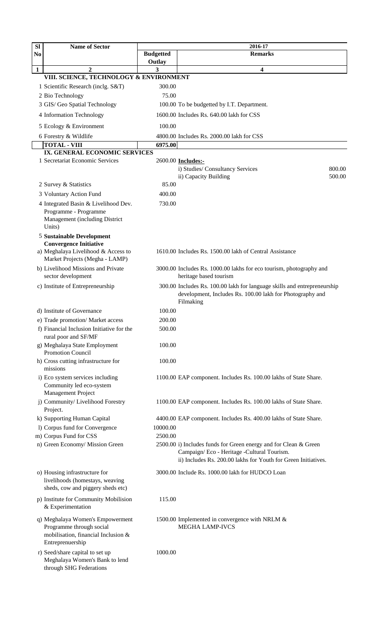| <b>Budgetted</b><br><b>Remarks</b><br>N <sub>0</sub><br>Outlay<br>$\mathbf{2}$<br>1<br>3<br>4<br>VIII. SCIENCE, TECHNOLOGY & ENVIRONMENT<br>300.00<br>1 Scientific Research (inclg. S&T)<br>75.00<br>2 Bio Technology<br>3 GIS/ Geo Spatial Technology<br>100.00 To be budgetted by I.T. Department.<br>1600.00 Includes Rs. 640.00 lakh for CSS<br>4 Information Technology<br>100.00<br>5 Ecology & Environment<br>6 Forestry & Wildlife<br>4800.00 Includes Rs. 2000.00 lakh for CSS<br><b>TOTAL - VIII</b><br>6975.00<br>IX. GENERAL ECONOMIC SERVICES<br>1 Secretariat Economic Services<br>2600.00 <b>Includes:-</b><br>i) Studies/ Consultancy Services<br>800.00<br>ii) Capacity Building<br>500.00<br>85.00<br>2 Survey & Statistics<br>3 Voluntary Action Fund<br>400.00<br>730.00<br>4 Integrated Basin & Livelihood Dev.<br>Programme - Programme<br>Management (including District<br>Units)<br><b>5 Sustainable Development</b><br><b>Convergence Initiative</b><br>a) Meghalaya Livelihood & Access to<br>1610.00 Includes Rs. 1500.00 lakh of Central Assistance<br>Market Projects (Megha - LAMP)<br>b) Livelihood Missions and Private<br>3000.00 Includes Rs. 1000.00 lakhs for eco tourism, photography and<br>sector development<br>heritage based tourism<br>300.00 Includes Rs. 100.00 lakh for language skills and entrepreneurship<br>c) Institute of Entrepreneurship<br>development, Includes Rs. 100.00 lakh for Photography and<br>Filmaking<br>d) Institute of Governance<br>100.00<br>200.00<br>e) Trade promotion/ Market access<br>f) Financial Inclusion Initiative for the<br>500.00<br>rural poor and SF/MF<br>g) Meghalaya State Employment<br>100.00<br>Promotion Council<br>h) Cross cutting infrastructure for<br>100.00<br>missions<br>i) Eco system services including<br>1100.00 EAP component. Includes Rs. 100.00 lakhs of State Share.<br>Community led eco-system<br>Management Project<br>j) Community/ Livelihood Forestry<br>1100.00 EAP component. Includes Rs. 100.00 lakhs of State Share.<br>Project.<br>k) Supporting Human Capital<br>4400.00 EAP component. Includes Rs. 400.00 lakhs of State Share.<br>1) Corpus fund for Convergence<br>10000.00<br>m) Corpus Fund for CSS<br>2500.00<br>n) Green Economy/ Mission Green<br>2500.00 i) Includes funds for Green energy and for Clean & Green<br>Campaign/Eco - Heritage - Cultural Tourism.<br>ii) Includes Rs. 200.00 lakhs for Youth for Green Initiatives.<br>o) Housing infrastructure for<br>3000.00 Include Rs. 1000.00 lakh for HUDCO Loan<br>livelihoods (homestays, weaving<br>sheds, cow and piggery sheds etc)<br>p) Institute for Community Mobilision<br>115.00<br>& Experimentation<br>q) Meghalaya Women's Empowerment<br>1500.00 Implemented in convergence with NRLM &<br>Programme through social<br><b>MEGHA LAMP-IVCS</b><br>mobilisation, financial Inclusion &<br>Entreprenuership<br>1000.00<br>r) Seed/share capital to set up<br>Meghalaya Women's Bank to lend | <b>Sl</b> | <b>Name of Sector</b>   | 2016-17 |  |  |
|------------------------------------------------------------------------------------------------------------------------------------------------------------------------------------------------------------------------------------------------------------------------------------------------------------------------------------------------------------------------------------------------------------------------------------------------------------------------------------------------------------------------------------------------------------------------------------------------------------------------------------------------------------------------------------------------------------------------------------------------------------------------------------------------------------------------------------------------------------------------------------------------------------------------------------------------------------------------------------------------------------------------------------------------------------------------------------------------------------------------------------------------------------------------------------------------------------------------------------------------------------------------------------------------------------------------------------------------------------------------------------------------------------------------------------------------------------------------------------------------------------------------------------------------------------------------------------------------------------------------------------------------------------------------------------------------------------------------------------------------------------------------------------------------------------------------------------------------------------------------------------------------------------------------------------------------------------------------------------------------------------------------------------------------------------------------------------------------------------------------------------------------------------------------------------------------------------------------------------------------------------------------------------------------------------------------------------------------------------------------------------------------------------------------------------------------------------------------------------------------------------------------------------------------------------------------------------------------------------------------------------------------------------------------------------------------------------------------------------------------------------------------------------------------------------------------------------------------------------------------------------------------------------------------------------------------------------------------------------------------------|-----------|-------------------------|---------|--|--|
|                                                                                                                                                                                                                                                                                                                                                                                                                                                                                                                                                                                                                                                                                                                                                                                                                                                                                                                                                                                                                                                                                                                                                                                                                                                                                                                                                                                                                                                                                                                                                                                                                                                                                                                                                                                                                                                                                                                                                                                                                                                                                                                                                                                                                                                                                                                                                                                                                                                                                                                                                                                                                                                                                                                                                                                                                                                                                                                                                                                                      |           |                         |         |  |  |
|                                                                                                                                                                                                                                                                                                                                                                                                                                                                                                                                                                                                                                                                                                                                                                                                                                                                                                                                                                                                                                                                                                                                                                                                                                                                                                                                                                                                                                                                                                                                                                                                                                                                                                                                                                                                                                                                                                                                                                                                                                                                                                                                                                                                                                                                                                                                                                                                                                                                                                                                                                                                                                                                                                                                                                                                                                                                                                                                                                                                      |           |                         |         |  |  |
|                                                                                                                                                                                                                                                                                                                                                                                                                                                                                                                                                                                                                                                                                                                                                                                                                                                                                                                                                                                                                                                                                                                                                                                                                                                                                                                                                                                                                                                                                                                                                                                                                                                                                                                                                                                                                                                                                                                                                                                                                                                                                                                                                                                                                                                                                                                                                                                                                                                                                                                                                                                                                                                                                                                                                                                                                                                                                                                                                                                                      |           |                         |         |  |  |
|                                                                                                                                                                                                                                                                                                                                                                                                                                                                                                                                                                                                                                                                                                                                                                                                                                                                                                                                                                                                                                                                                                                                                                                                                                                                                                                                                                                                                                                                                                                                                                                                                                                                                                                                                                                                                                                                                                                                                                                                                                                                                                                                                                                                                                                                                                                                                                                                                                                                                                                                                                                                                                                                                                                                                                                                                                                                                                                                                                                                      |           |                         |         |  |  |
|                                                                                                                                                                                                                                                                                                                                                                                                                                                                                                                                                                                                                                                                                                                                                                                                                                                                                                                                                                                                                                                                                                                                                                                                                                                                                                                                                                                                                                                                                                                                                                                                                                                                                                                                                                                                                                                                                                                                                                                                                                                                                                                                                                                                                                                                                                                                                                                                                                                                                                                                                                                                                                                                                                                                                                                                                                                                                                                                                                                                      |           |                         |         |  |  |
|                                                                                                                                                                                                                                                                                                                                                                                                                                                                                                                                                                                                                                                                                                                                                                                                                                                                                                                                                                                                                                                                                                                                                                                                                                                                                                                                                                                                                                                                                                                                                                                                                                                                                                                                                                                                                                                                                                                                                                                                                                                                                                                                                                                                                                                                                                                                                                                                                                                                                                                                                                                                                                                                                                                                                                                                                                                                                                                                                                                                      |           |                         |         |  |  |
|                                                                                                                                                                                                                                                                                                                                                                                                                                                                                                                                                                                                                                                                                                                                                                                                                                                                                                                                                                                                                                                                                                                                                                                                                                                                                                                                                                                                                                                                                                                                                                                                                                                                                                                                                                                                                                                                                                                                                                                                                                                                                                                                                                                                                                                                                                                                                                                                                                                                                                                                                                                                                                                                                                                                                                                                                                                                                                                                                                                                      |           |                         |         |  |  |
|                                                                                                                                                                                                                                                                                                                                                                                                                                                                                                                                                                                                                                                                                                                                                                                                                                                                                                                                                                                                                                                                                                                                                                                                                                                                                                                                                                                                                                                                                                                                                                                                                                                                                                                                                                                                                                                                                                                                                                                                                                                                                                                                                                                                                                                                                                                                                                                                                                                                                                                                                                                                                                                                                                                                                                                                                                                                                                                                                                                                      |           |                         |         |  |  |
|                                                                                                                                                                                                                                                                                                                                                                                                                                                                                                                                                                                                                                                                                                                                                                                                                                                                                                                                                                                                                                                                                                                                                                                                                                                                                                                                                                                                                                                                                                                                                                                                                                                                                                                                                                                                                                                                                                                                                                                                                                                                                                                                                                                                                                                                                                                                                                                                                                                                                                                                                                                                                                                                                                                                                                                                                                                                                                                                                                                                      |           |                         |         |  |  |
|                                                                                                                                                                                                                                                                                                                                                                                                                                                                                                                                                                                                                                                                                                                                                                                                                                                                                                                                                                                                                                                                                                                                                                                                                                                                                                                                                                                                                                                                                                                                                                                                                                                                                                                                                                                                                                                                                                                                                                                                                                                                                                                                                                                                                                                                                                                                                                                                                                                                                                                                                                                                                                                                                                                                                                                                                                                                                                                                                                                                      |           |                         |         |  |  |
|                                                                                                                                                                                                                                                                                                                                                                                                                                                                                                                                                                                                                                                                                                                                                                                                                                                                                                                                                                                                                                                                                                                                                                                                                                                                                                                                                                                                                                                                                                                                                                                                                                                                                                                                                                                                                                                                                                                                                                                                                                                                                                                                                                                                                                                                                                                                                                                                                                                                                                                                                                                                                                                                                                                                                                                                                                                                                                                                                                                                      |           |                         |         |  |  |
|                                                                                                                                                                                                                                                                                                                                                                                                                                                                                                                                                                                                                                                                                                                                                                                                                                                                                                                                                                                                                                                                                                                                                                                                                                                                                                                                                                                                                                                                                                                                                                                                                                                                                                                                                                                                                                                                                                                                                                                                                                                                                                                                                                                                                                                                                                                                                                                                                                                                                                                                                                                                                                                                                                                                                                                                                                                                                                                                                                                                      |           |                         |         |  |  |
|                                                                                                                                                                                                                                                                                                                                                                                                                                                                                                                                                                                                                                                                                                                                                                                                                                                                                                                                                                                                                                                                                                                                                                                                                                                                                                                                                                                                                                                                                                                                                                                                                                                                                                                                                                                                                                                                                                                                                                                                                                                                                                                                                                                                                                                                                                                                                                                                                                                                                                                                                                                                                                                                                                                                                                                                                                                                                                                                                                                                      |           |                         |         |  |  |
|                                                                                                                                                                                                                                                                                                                                                                                                                                                                                                                                                                                                                                                                                                                                                                                                                                                                                                                                                                                                                                                                                                                                                                                                                                                                                                                                                                                                                                                                                                                                                                                                                                                                                                                                                                                                                                                                                                                                                                                                                                                                                                                                                                                                                                                                                                                                                                                                                                                                                                                                                                                                                                                                                                                                                                                                                                                                                                                                                                                                      |           |                         |         |  |  |
|                                                                                                                                                                                                                                                                                                                                                                                                                                                                                                                                                                                                                                                                                                                                                                                                                                                                                                                                                                                                                                                                                                                                                                                                                                                                                                                                                                                                                                                                                                                                                                                                                                                                                                                                                                                                                                                                                                                                                                                                                                                                                                                                                                                                                                                                                                                                                                                                                                                                                                                                                                                                                                                                                                                                                                                                                                                                                                                                                                                                      |           |                         |         |  |  |
|                                                                                                                                                                                                                                                                                                                                                                                                                                                                                                                                                                                                                                                                                                                                                                                                                                                                                                                                                                                                                                                                                                                                                                                                                                                                                                                                                                                                                                                                                                                                                                                                                                                                                                                                                                                                                                                                                                                                                                                                                                                                                                                                                                                                                                                                                                                                                                                                                                                                                                                                                                                                                                                                                                                                                                                                                                                                                                                                                                                                      |           |                         |         |  |  |
|                                                                                                                                                                                                                                                                                                                                                                                                                                                                                                                                                                                                                                                                                                                                                                                                                                                                                                                                                                                                                                                                                                                                                                                                                                                                                                                                                                                                                                                                                                                                                                                                                                                                                                                                                                                                                                                                                                                                                                                                                                                                                                                                                                                                                                                                                                                                                                                                                                                                                                                                                                                                                                                                                                                                                                                                                                                                                                                                                                                                      |           |                         |         |  |  |
|                                                                                                                                                                                                                                                                                                                                                                                                                                                                                                                                                                                                                                                                                                                                                                                                                                                                                                                                                                                                                                                                                                                                                                                                                                                                                                                                                                                                                                                                                                                                                                                                                                                                                                                                                                                                                                                                                                                                                                                                                                                                                                                                                                                                                                                                                                                                                                                                                                                                                                                                                                                                                                                                                                                                                                                                                                                                                                                                                                                                      |           |                         |         |  |  |
|                                                                                                                                                                                                                                                                                                                                                                                                                                                                                                                                                                                                                                                                                                                                                                                                                                                                                                                                                                                                                                                                                                                                                                                                                                                                                                                                                                                                                                                                                                                                                                                                                                                                                                                                                                                                                                                                                                                                                                                                                                                                                                                                                                                                                                                                                                                                                                                                                                                                                                                                                                                                                                                                                                                                                                                                                                                                                                                                                                                                      |           |                         |         |  |  |
|                                                                                                                                                                                                                                                                                                                                                                                                                                                                                                                                                                                                                                                                                                                                                                                                                                                                                                                                                                                                                                                                                                                                                                                                                                                                                                                                                                                                                                                                                                                                                                                                                                                                                                                                                                                                                                                                                                                                                                                                                                                                                                                                                                                                                                                                                                                                                                                                                                                                                                                                                                                                                                                                                                                                                                                                                                                                                                                                                                                                      |           |                         |         |  |  |
|                                                                                                                                                                                                                                                                                                                                                                                                                                                                                                                                                                                                                                                                                                                                                                                                                                                                                                                                                                                                                                                                                                                                                                                                                                                                                                                                                                                                                                                                                                                                                                                                                                                                                                                                                                                                                                                                                                                                                                                                                                                                                                                                                                                                                                                                                                                                                                                                                                                                                                                                                                                                                                                                                                                                                                                                                                                                                                                                                                                                      |           |                         |         |  |  |
|                                                                                                                                                                                                                                                                                                                                                                                                                                                                                                                                                                                                                                                                                                                                                                                                                                                                                                                                                                                                                                                                                                                                                                                                                                                                                                                                                                                                                                                                                                                                                                                                                                                                                                                                                                                                                                                                                                                                                                                                                                                                                                                                                                                                                                                                                                                                                                                                                                                                                                                                                                                                                                                                                                                                                                                                                                                                                                                                                                                                      |           |                         |         |  |  |
|                                                                                                                                                                                                                                                                                                                                                                                                                                                                                                                                                                                                                                                                                                                                                                                                                                                                                                                                                                                                                                                                                                                                                                                                                                                                                                                                                                                                                                                                                                                                                                                                                                                                                                                                                                                                                                                                                                                                                                                                                                                                                                                                                                                                                                                                                                                                                                                                                                                                                                                                                                                                                                                                                                                                                                                                                                                                                                                                                                                                      |           |                         |         |  |  |
|                                                                                                                                                                                                                                                                                                                                                                                                                                                                                                                                                                                                                                                                                                                                                                                                                                                                                                                                                                                                                                                                                                                                                                                                                                                                                                                                                                                                                                                                                                                                                                                                                                                                                                                                                                                                                                                                                                                                                                                                                                                                                                                                                                                                                                                                                                                                                                                                                                                                                                                                                                                                                                                                                                                                                                                                                                                                                                                                                                                                      |           |                         |         |  |  |
|                                                                                                                                                                                                                                                                                                                                                                                                                                                                                                                                                                                                                                                                                                                                                                                                                                                                                                                                                                                                                                                                                                                                                                                                                                                                                                                                                                                                                                                                                                                                                                                                                                                                                                                                                                                                                                                                                                                                                                                                                                                                                                                                                                                                                                                                                                                                                                                                                                                                                                                                                                                                                                                                                                                                                                                                                                                                                                                                                                                                      |           |                         |         |  |  |
|                                                                                                                                                                                                                                                                                                                                                                                                                                                                                                                                                                                                                                                                                                                                                                                                                                                                                                                                                                                                                                                                                                                                                                                                                                                                                                                                                                                                                                                                                                                                                                                                                                                                                                                                                                                                                                                                                                                                                                                                                                                                                                                                                                                                                                                                                                                                                                                                                                                                                                                                                                                                                                                                                                                                                                                                                                                                                                                                                                                                      |           |                         |         |  |  |
|                                                                                                                                                                                                                                                                                                                                                                                                                                                                                                                                                                                                                                                                                                                                                                                                                                                                                                                                                                                                                                                                                                                                                                                                                                                                                                                                                                                                                                                                                                                                                                                                                                                                                                                                                                                                                                                                                                                                                                                                                                                                                                                                                                                                                                                                                                                                                                                                                                                                                                                                                                                                                                                                                                                                                                                                                                                                                                                                                                                                      |           |                         |         |  |  |
|                                                                                                                                                                                                                                                                                                                                                                                                                                                                                                                                                                                                                                                                                                                                                                                                                                                                                                                                                                                                                                                                                                                                                                                                                                                                                                                                                                                                                                                                                                                                                                                                                                                                                                                                                                                                                                                                                                                                                                                                                                                                                                                                                                                                                                                                                                                                                                                                                                                                                                                                                                                                                                                                                                                                                                                                                                                                                                                                                                                                      |           |                         |         |  |  |
|                                                                                                                                                                                                                                                                                                                                                                                                                                                                                                                                                                                                                                                                                                                                                                                                                                                                                                                                                                                                                                                                                                                                                                                                                                                                                                                                                                                                                                                                                                                                                                                                                                                                                                                                                                                                                                                                                                                                                                                                                                                                                                                                                                                                                                                                                                                                                                                                                                                                                                                                                                                                                                                                                                                                                                                                                                                                                                                                                                                                      |           |                         |         |  |  |
|                                                                                                                                                                                                                                                                                                                                                                                                                                                                                                                                                                                                                                                                                                                                                                                                                                                                                                                                                                                                                                                                                                                                                                                                                                                                                                                                                                                                                                                                                                                                                                                                                                                                                                                                                                                                                                                                                                                                                                                                                                                                                                                                                                                                                                                                                                                                                                                                                                                                                                                                                                                                                                                                                                                                                                                                                                                                                                                                                                                                      |           |                         |         |  |  |
|                                                                                                                                                                                                                                                                                                                                                                                                                                                                                                                                                                                                                                                                                                                                                                                                                                                                                                                                                                                                                                                                                                                                                                                                                                                                                                                                                                                                                                                                                                                                                                                                                                                                                                                                                                                                                                                                                                                                                                                                                                                                                                                                                                                                                                                                                                                                                                                                                                                                                                                                                                                                                                                                                                                                                                                                                                                                                                                                                                                                      |           |                         |         |  |  |
|                                                                                                                                                                                                                                                                                                                                                                                                                                                                                                                                                                                                                                                                                                                                                                                                                                                                                                                                                                                                                                                                                                                                                                                                                                                                                                                                                                                                                                                                                                                                                                                                                                                                                                                                                                                                                                                                                                                                                                                                                                                                                                                                                                                                                                                                                                                                                                                                                                                                                                                                                                                                                                                                                                                                                                                                                                                                                                                                                                                                      |           |                         |         |  |  |
|                                                                                                                                                                                                                                                                                                                                                                                                                                                                                                                                                                                                                                                                                                                                                                                                                                                                                                                                                                                                                                                                                                                                                                                                                                                                                                                                                                                                                                                                                                                                                                                                                                                                                                                                                                                                                                                                                                                                                                                                                                                                                                                                                                                                                                                                                                                                                                                                                                                                                                                                                                                                                                                                                                                                                                                                                                                                                                                                                                                                      |           |                         |         |  |  |
|                                                                                                                                                                                                                                                                                                                                                                                                                                                                                                                                                                                                                                                                                                                                                                                                                                                                                                                                                                                                                                                                                                                                                                                                                                                                                                                                                                                                                                                                                                                                                                                                                                                                                                                                                                                                                                                                                                                                                                                                                                                                                                                                                                                                                                                                                                                                                                                                                                                                                                                                                                                                                                                                                                                                                                                                                                                                                                                                                                                                      |           |                         |         |  |  |
|                                                                                                                                                                                                                                                                                                                                                                                                                                                                                                                                                                                                                                                                                                                                                                                                                                                                                                                                                                                                                                                                                                                                                                                                                                                                                                                                                                                                                                                                                                                                                                                                                                                                                                                                                                                                                                                                                                                                                                                                                                                                                                                                                                                                                                                                                                                                                                                                                                                                                                                                                                                                                                                                                                                                                                                                                                                                                                                                                                                                      |           |                         |         |  |  |
|                                                                                                                                                                                                                                                                                                                                                                                                                                                                                                                                                                                                                                                                                                                                                                                                                                                                                                                                                                                                                                                                                                                                                                                                                                                                                                                                                                                                                                                                                                                                                                                                                                                                                                                                                                                                                                                                                                                                                                                                                                                                                                                                                                                                                                                                                                                                                                                                                                                                                                                                                                                                                                                                                                                                                                                                                                                                                                                                                                                                      |           |                         |         |  |  |
|                                                                                                                                                                                                                                                                                                                                                                                                                                                                                                                                                                                                                                                                                                                                                                                                                                                                                                                                                                                                                                                                                                                                                                                                                                                                                                                                                                                                                                                                                                                                                                                                                                                                                                                                                                                                                                                                                                                                                                                                                                                                                                                                                                                                                                                                                                                                                                                                                                                                                                                                                                                                                                                                                                                                                                                                                                                                                                                                                                                                      |           |                         |         |  |  |
|                                                                                                                                                                                                                                                                                                                                                                                                                                                                                                                                                                                                                                                                                                                                                                                                                                                                                                                                                                                                                                                                                                                                                                                                                                                                                                                                                                                                                                                                                                                                                                                                                                                                                                                                                                                                                                                                                                                                                                                                                                                                                                                                                                                                                                                                                                                                                                                                                                                                                                                                                                                                                                                                                                                                                                                                                                                                                                                                                                                                      |           |                         |         |  |  |
|                                                                                                                                                                                                                                                                                                                                                                                                                                                                                                                                                                                                                                                                                                                                                                                                                                                                                                                                                                                                                                                                                                                                                                                                                                                                                                                                                                                                                                                                                                                                                                                                                                                                                                                                                                                                                                                                                                                                                                                                                                                                                                                                                                                                                                                                                                                                                                                                                                                                                                                                                                                                                                                                                                                                                                                                                                                                                                                                                                                                      |           |                         |         |  |  |
|                                                                                                                                                                                                                                                                                                                                                                                                                                                                                                                                                                                                                                                                                                                                                                                                                                                                                                                                                                                                                                                                                                                                                                                                                                                                                                                                                                                                                                                                                                                                                                                                                                                                                                                                                                                                                                                                                                                                                                                                                                                                                                                                                                                                                                                                                                                                                                                                                                                                                                                                                                                                                                                                                                                                                                                                                                                                                                                                                                                                      |           |                         |         |  |  |
|                                                                                                                                                                                                                                                                                                                                                                                                                                                                                                                                                                                                                                                                                                                                                                                                                                                                                                                                                                                                                                                                                                                                                                                                                                                                                                                                                                                                                                                                                                                                                                                                                                                                                                                                                                                                                                                                                                                                                                                                                                                                                                                                                                                                                                                                                                                                                                                                                                                                                                                                                                                                                                                                                                                                                                                                                                                                                                                                                                                                      |           |                         |         |  |  |
|                                                                                                                                                                                                                                                                                                                                                                                                                                                                                                                                                                                                                                                                                                                                                                                                                                                                                                                                                                                                                                                                                                                                                                                                                                                                                                                                                                                                                                                                                                                                                                                                                                                                                                                                                                                                                                                                                                                                                                                                                                                                                                                                                                                                                                                                                                                                                                                                                                                                                                                                                                                                                                                                                                                                                                                                                                                                                                                                                                                                      |           |                         |         |  |  |
|                                                                                                                                                                                                                                                                                                                                                                                                                                                                                                                                                                                                                                                                                                                                                                                                                                                                                                                                                                                                                                                                                                                                                                                                                                                                                                                                                                                                                                                                                                                                                                                                                                                                                                                                                                                                                                                                                                                                                                                                                                                                                                                                                                                                                                                                                                                                                                                                                                                                                                                                                                                                                                                                                                                                                                                                                                                                                                                                                                                                      |           |                         |         |  |  |
|                                                                                                                                                                                                                                                                                                                                                                                                                                                                                                                                                                                                                                                                                                                                                                                                                                                                                                                                                                                                                                                                                                                                                                                                                                                                                                                                                                                                                                                                                                                                                                                                                                                                                                                                                                                                                                                                                                                                                                                                                                                                                                                                                                                                                                                                                                                                                                                                                                                                                                                                                                                                                                                                                                                                                                                                                                                                                                                                                                                                      |           |                         |         |  |  |
|                                                                                                                                                                                                                                                                                                                                                                                                                                                                                                                                                                                                                                                                                                                                                                                                                                                                                                                                                                                                                                                                                                                                                                                                                                                                                                                                                                                                                                                                                                                                                                                                                                                                                                                                                                                                                                                                                                                                                                                                                                                                                                                                                                                                                                                                                                                                                                                                                                                                                                                                                                                                                                                                                                                                                                                                                                                                                                                                                                                                      |           |                         |         |  |  |
|                                                                                                                                                                                                                                                                                                                                                                                                                                                                                                                                                                                                                                                                                                                                                                                                                                                                                                                                                                                                                                                                                                                                                                                                                                                                                                                                                                                                                                                                                                                                                                                                                                                                                                                                                                                                                                                                                                                                                                                                                                                                                                                                                                                                                                                                                                                                                                                                                                                                                                                                                                                                                                                                                                                                                                                                                                                                                                                                                                                                      |           |                         |         |  |  |
|                                                                                                                                                                                                                                                                                                                                                                                                                                                                                                                                                                                                                                                                                                                                                                                                                                                                                                                                                                                                                                                                                                                                                                                                                                                                                                                                                                                                                                                                                                                                                                                                                                                                                                                                                                                                                                                                                                                                                                                                                                                                                                                                                                                                                                                                                                                                                                                                                                                                                                                                                                                                                                                                                                                                                                                                                                                                                                                                                                                                      |           |                         |         |  |  |
|                                                                                                                                                                                                                                                                                                                                                                                                                                                                                                                                                                                                                                                                                                                                                                                                                                                                                                                                                                                                                                                                                                                                                                                                                                                                                                                                                                                                                                                                                                                                                                                                                                                                                                                                                                                                                                                                                                                                                                                                                                                                                                                                                                                                                                                                                                                                                                                                                                                                                                                                                                                                                                                                                                                                                                                                                                                                                                                                                                                                      |           |                         |         |  |  |
|                                                                                                                                                                                                                                                                                                                                                                                                                                                                                                                                                                                                                                                                                                                                                                                                                                                                                                                                                                                                                                                                                                                                                                                                                                                                                                                                                                                                                                                                                                                                                                                                                                                                                                                                                                                                                                                                                                                                                                                                                                                                                                                                                                                                                                                                                                                                                                                                                                                                                                                                                                                                                                                                                                                                                                                                                                                                                                                                                                                                      |           |                         |         |  |  |
|                                                                                                                                                                                                                                                                                                                                                                                                                                                                                                                                                                                                                                                                                                                                                                                                                                                                                                                                                                                                                                                                                                                                                                                                                                                                                                                                                                                                                                                                                                                                                                                                                                                                                                                                                                                                                                                                                                                                                                                                                                                                                                                                                                                                                                                                                                                                                                                                                                                                                                                                                                                                                                                                                                                                                                                                                                                                                                                                                                                                      |           |                         |         |  |  |
|                                                                                                                                                                                                                                                                                                                                                                                                                                                                                                                                                                                                                                                                                                                                                                                                                                                                                                                                                                                                                                                                                                                                                                                                                                                                                                                                                                                                                                                                                                                                                                                                                                                                                                                                                                                                                                                                                                                                                                                                                                                                                                                                                                                                                                                                                                                                                                                                                                                                                                                                                                                                                                                                                                                                                                                                                                                                                                                                                                                                      |           |                         |         |  |  |
|                                                                                                                                                                                                                                                                                                                                                                                                                                                                                                                                                                                                                                                                                                                                                                                                                                                                                                                                                                                                                                                                                                                                                                                                                                                                                                                                                                                                                                                                                                                                                                                                                                                                                                                                                                                                                                                                                                                                                                                                                                                                                                                                                                                                                                                                                                                                                                                                                                                                                                                                                                                                                                                                                                                                                                                                                                                                                                                                                                                                      |           |                         |         |  |  |
|                                                                                                                                                                                                                                                                                                                                                                                                                                                                                                                                                                                                                                                                                                                                                                                                                                                                                                                                                                                                                                                                                                                                                                                                                                                                                                                                                                                                                                                                                                                                                                                                                                                                                                                                                                                                                                                                                                                                                                                                                                                                                                                                                                                                                                                                                                                                                                                                                                                                                                                                                                                                                                                                                                                                                                                                                                                                                                                                                                                                      |           |                         |         |  |  |
|                                                                                                                                                                                                                                                                                                                                                                                                                                                                                                                                                                                                                                                                                                                                                                                                                                                                                                                                                                                                                                                                                                                                                                                                                                                                                                                                                                                                                                                                                                                                                                                                                                                                                                                                                                                                                                                                                                                                                                                                                                                                                                                                                                                                                                                                                                                                                                                                                                                                                                                                                                                                                                                                                                                                                                                                                                                                                                                                                                                                      |           |                         |         |  |  |
|                                                                                                                                                                                                                                                                                                                                                                                                                                                                                                                                                                                                                                                                                                                                                                                                                                                                                                                                                                                                                                                                                                                                                                                                                                                                                                                                                                                                                                                                                                                                                                                                                                                                                                                                                                                                                                                                                                                                                                                                                                                                                                                                                                                                                                                                                                                                                                                                                                                                                                                                                                                                                                                                                                                                                                                                                                                                                                                                                                                                      |           |                         |         |  |  |
|                                                                                                                                                                                                                                                                                                                                                                                                                                                                                                                                                                                                                                                                                                                                                                                                                                                                                                                                                                                                                                                                                                                                                                                                                                                                                                                                                                                                                                                                                                                                                                                                                                                                                                                                                                                                                                                                                                                                                                                                                                                                                                                                                                                                                                                                                                                                                                                                                                                                                                                                                                                                                                                                                                                                                                                                                                                                                                                                                                                                      |           |                         |         |  |  |
|                                                                                                                                                                                                                                                                                                                                                                                                                                                                                                                                                                                                                                                                                                                                                                                                                                                                                                                                                                                                                                                                                                                                                                                                                                                                                                                                                                                                                                                                                                                                                                                                                                                                                                                                                                                                                                                                                                                                                                                                                                                                                                                                                                                                                                                                                                                                                                                                                                                                                                                                                                                                                                                                                                                                                                                                                                                                                                                                                                                                      |           | through SHG Federations |         |  |  |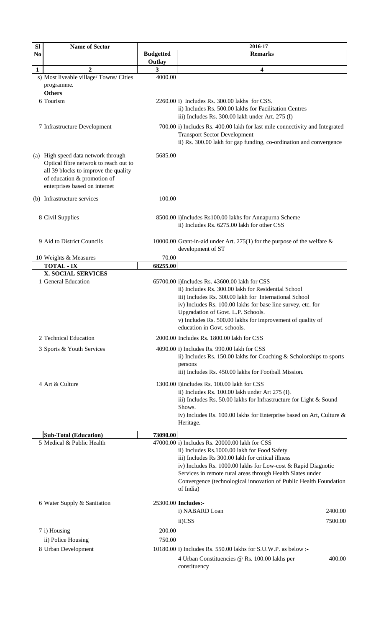| <b>Sl</b>    | <b>Name of Sector</b>                                                                                                                                                                | 2016-17                    |                                                                                                                                                                                                                                                                                                                                                                      |  |
|--------------|--------------------------------------------------------------------------------------------------------------------------------------------------------------------------------------|----------------------------|----------------------------------------------------------------------------------------------------------------------------------------------------------------------------------------------------------------------------------------------------------------------------------------------------------------------------------------------------------------------|--|
| No           |                                                                                                                                                                                      | <b>Budgetted</b><br>Outlay | <b>Remarks</b>                                                                                                                                                                                                                                                                                                                                                       |  |
| $\mathbf{1}$ | $\mathbf{2}$                                                                                                                                                                         | 3                          | 4                                                                                                                                                                                                                                                                                                                                                                    |  |
|              | s) Most liveable village/Towns/Cities<br>programme.<br><b>Others</b>                                                                                                                 | 4000.00                    |                                                                                                                                                                                                                                                                                                                                                                      |  |
|              | 6 Tourism                                                                                                                                                                            |                            | 2260.00 i) Includes Rs. 300.00 lakhs for CSS.<br>ii) Includes Rs. 500.00 lakhs for Facilitation Centres<br>iii) Includes Rs. 300.00 lakh under Art. 275 (I)                                                                                                                                                                                                          |  |
|              | 7 Infrastructure Development                                                                                                                                                         |                            | 700.00 i) Includes Rs. 400.00 lakh for last mile connectivity and Integrated<br><b>Transport Sector Development</b><br>ii) Rs. 300.00 lakh for gap funding, co-ordination and convergence                                                                                                                                                                            |  |
|              | (a) High speed data network through<br>Optical fibre netwrok to reach out to<br>all 39 blocks to improve the quality<br>of education & promotion of<br>enterprises based on internet | 5685.00                    |                                                                                                                                                                                                                                                                                                                                                                      |  |
|              | (b) Infrastructure services                                                                                                                                                          | 100.00                     |                                                                                                                                                                                                                                                                                                                                                                      |  |
|              | 8 Civil Supplies                                                                                                                                                                     |                            | 8500.00 i)Includes Rs100.00 lakhs for Annapurna Scheme<br>ii) Includes Rs. 6275.00 lakh for other CSS                                                                                                                                                                                                                                                                |  |
|              | 9 Aid to District Councils                                                                                                                                                           |                            | 10000.00 Grant-in-aid under Art. 275(1) for the purpose of the welfare $\&$<br>development of ST                                                                                                                                                                                                                                                                     |  |
|              | 10 Weights & Measures                                                                                                                                                                | 70.00                      |                                                                                                                                                                                                                                                                                                                                                                      |  |
|              | <b>TOTAL - IX</b><br><b>X. SOCIAL SERVICES</b>                                                                                                                                       | 68255.00                   |                                                                                                                                                                                                                                                                                                                                                                      |  |
|              | 1 General Education                                                                                                                                                                  |                            | 65700.00 i)Includes Rs. 43600.00 lakh for CSS<br>ii) Includes Rs. 300.00 lakh for Residential School<br>iii) Includes Rs. 300.00 lakh for International School<br>iv) Includes Rs. 100.00 lakhs for base line survey, etc. for<br>Upgradation of Govt. L.P. Schools.<br>v) Includes Rs. 500.00 lakhs for improvement of quality of<br>education in Govt. schools.    |  |
|              | 2 Technical Education                                                                                                                                                                |                            | 2000.00 Includes Rs. 1800.00 lakh for CSS                                                                                                                                                                                                                                                                                                                            |  |
|              | 3 Sports & Youth Services                                                                                                                                                            |                            | 4090.00 i) Includes Rs. 990.00 lakh for CSS<br>ii) Includes Rs. 150.00 lakhs for Coaching & Scholorships to sports<br>persons<br>iii) Includes Rs. 450.00 lakhs for Football Mission.                                                                                                                                                                                |  |
|              | 4 Art & Culture                                                                                                                                                                      |                            | 1300.00 i)Includes Rs. 100.00 lakh for CSS<br>ii) Includes Rs. 100.00 lakh under Art 275 (I).<br>iii) Includes Rs. 50.00 lakhs for Infrastructure for Light & Sound<br>Shows.<br>iv) Includes Rs. 100.00 lakhs for Enterprise based on Art, Culture &<br>Heritage.                                                                                                   |  |
|              | <b>Sub-Total (Education)</b>                                                                                                                                                         | 73090.00                   |                                                                                                                                                                                                                                                                                                                                                                      |  |
|              | 5 Medical & Public Health                                                                                                                                                            |                            | 47000.00 i) Includes Rs. 20000.00 lakh for CSS<br>ii) Includes Rs.1000.00 lakh for Food Safety<br>iii) Includes Rs 300.00 lakh for critical illness<br>iv) Includes Rs. 1000.00 lakhs for Low-cost & Rapid Diagnotic<br>Services in remote rural areas through Health Slates under<br>Convergence (technological innovation of Public Health Foundation<br>of India) |  |
|              | 6 Water Supply & Sanitation                                                                                                                                                          |                            | 25300.00 Includes:-<br>i) NABARD Loan<br>2400.00                                                                                                                                                                                                                                                                                                                     |  |
|              |                                                                                                                                                                                      |                            | ii)CSS<br>7500.00                                                                                                                                                                                                                                                                                                                                                    |  |
|              | 7 i) Housing                                                                                                                                                                         | 200.00                     |                                                                                                                                                                                                                                                                                                                                                                      |  |
|              |                                                                                                                                                                                      | 750.00                     |                                                                                                                                                                                                                                                                                                                                                                      |  |
|              | ii) Police Housing                                                                                                                                                                   |                            |                                                                                                                                                                                                                                                                                                                                                                      |  |
|              | 8 Urban Development                                                                                                                                                                  |                            | 10180.00 i) Includes Rs. 550.00 lakhs for S.U.W.P. as below :-<br>4 Urban Constituencies @ Rs. 100.00 lakhs per<br>400.00<br>constituency                                                                                                                                                                                                                            |  |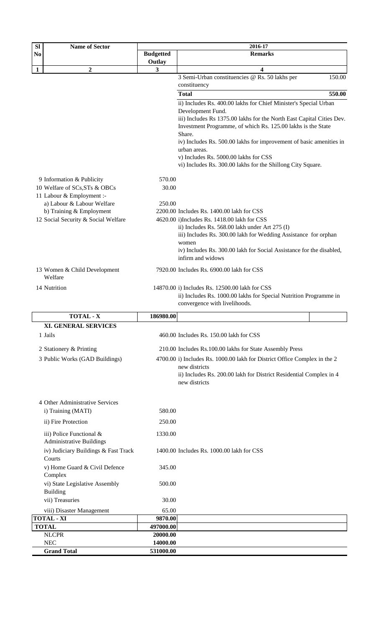| <b>Sl</b><br>N <sub>0</sub> | <b>Name of Sector</b>                                                                   | <b>Budgetted</b> | 2016-17<br><b>Remarks</b>                                                                                                                                        |
|-----------------------------|-----------------------------------------------------------------------------------------|------------------|------------------------------------------------------------------------------------------------------------------------------------------------------------------|
|                             |                                                                                         | Outlay           |                                                                                                                                                                  |
| $\mathbf{1}$                | $\boldsymbol{2}$                                                                        | 3                | 4                                                                                                                                                                |
|                             |                                                                                         |                  | 3 Semi-Urban constituencies @ Rs. 50 lakhs per<br>150.00                                                                                                         |
|                             |                                                                                         |                  | constituency                                                                                                                                                     |
|                             |                                                                                         |                  | 550.00<br><b>Total</b>                                                                                                                                           |
|                             |                                                                                         |                  | ii) Includes Rs. 400.00 lakhs for Chief Minister's Special Urban<br>Development Fund.                                                                            |
|                             |                                                                                         |                  | iii) Includes Rs 1375.00 lakhs for the North East Capital Cities Dev.<br>Investment Programme, of which Rs. 125.00 lakhs is the State<br>Share.                  |
|                             |                                                                                         |                  | iv) Includes Rs. 500.00 lakhs for improvement of basic amenities in<br>urban areas.                                                                              |
|                             |                                                                                         |                  | v) Includes Rs. 5000.00 lakhs for CSS<br>vi) Includes Rs. 300.00 lakhs for the Shillong City Square.                                                             |
|                             |                                                                                         | 570.00           |                                                                                                                                                                  |
|                             | 9 Information & Publicity<br>10 Welfare of SCs, STs & OBCs<br>11 Labour & Employment :- | 30.00            |                                                                                                                                                                  |
|                             | a) Labour & Labour Welfare                                                              | 250.00           |                                                                                                                                                                  |
|                             | b) Training & Employment                                                                |                  | 2200.00 Includes Rs. 1400.00 lakh for CSS                                                                                                                        |
|                             | 12 Social Security & Social Welfare                                                     |                  | 4620.00 i)Includes Rs. 1418.00 lakh for CSS                                                                                                                      |
|                             |                                                                                         |                  | ii) Includes Rs. 568.00 lakh under Art 275 (I)                                                                                                                   |
|                             |                                                                                         |                  | iii) Includes Rs. 300.00 lakh for Wedding Assistance for orphan                                                                                                  |
|                             |                                                                                         |                  | women<br>iv) Includes Rs. 300.00 lakh for Social Assistance for the disabled,                                                                                    |
|                             |                                                                                         |                  | infirm and widows                                                                                                                                                |
|                             | 13 Women & Child Development<br>Welfare                                                 |                  | 7920.00 Includes Rs. 6900.00 lakh for CSS                                                                                                                        |
|                             | 14 Nutrition                                                                            |                  | 14870.00 i) Includes Rs. 12500.00 lakh for CSS<br>ii) Includes Rs. 1000.00 lakhs for Special Nutrition Programme in                                              |
|                             |                                                                                         |                  | convergence with livelihoods.                                                                                                                                    |
|                             | <b>TOTAL - X</b>                                                                        | 186980.00        |                                                                                                                                                                  |
|                             | XI. GENERAL SERVICES                                                                    |                  |                                                                                                                                                                  |
|                             | 1 Jails                                                                                 |                  | 460.00 Includes Rs. 150.00 lakh for CSS                                                                                                                          |
|                             | 2 Stationery & Printing                                                                 |                  | 210.00 Includes Rs.100.00 lakhs for State Assembly Press                                                                                                         |
|                             | 3 Public Works (GAD Buildings)                                                          |                  | 4700.00 i) Includes Rs. 1000.00 lakh for District Office Complex in the 2<br>new districts<br>ii) Includes Rs. 200.00 lakh for District Residential Complex in 4 |
|                             |                                                                                         |                  | new districts                                                                                                                                                    |
|                             | 4 Other Administrative Services                                                         |                  |                                                                                                                                                                  |
|                             | i) Training (MATI)                                                                      | 580.00           |                                                                                                                                                                  |
|                             | ii) Fire Protection                                                                     | 250.00           |                                                                                                                                                                  |
|                             | iii) Police Functional &<br><b>Administrative Buildings</b>                             | 1330.00          |                                                                                                                                                                  |
|                             | iv) Judiciary Buildings & Fast Track<br>Courts                                          |                  | 1400.00 Includes Rs. 1000.00 lakh for CSS                                                                                                                        |
|                             | v) Home Guard & Civil Defence<br>Complex                                                | 345.00           |                                                                                                                                                                  |
|                             | vi) State Legislative Assembly<br><b>Building</b>                                       | 500.00           |                                                                                                                                                                  |
|                             | vii) Treasuries                                                                         | 30.00            |                                                                                                                                                                  |
|                             | viii) Disaster Management                                                               | 65.00            |                                                                                                                                                                  |

| viii) Disaster Management | 65.00     |  |
|---------------------------|-----------|--|
| <b>TOTAL - XI</b>         | 9870.00   |  |
| <b>TOTAL</b>              | 497000.00 |  |
| <b>NLCPR</b>              | 20000.00  |  |
| <b>NEC</b>                | 14000.00  |  |
| <b>Grand Total</b>        | 531000.00 |  |